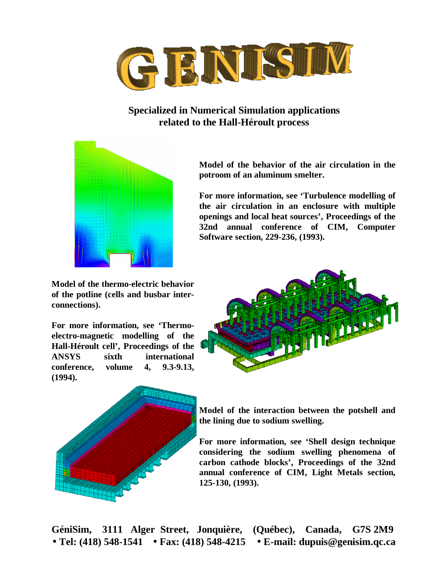

## **Specialized in Numerical Simulation applications related to the Hall-Héroult process**



**Model of the behavior of the air circulation in the potroom of an aluminum smelter.**

**For more information, see 'Turbulence modelling of the air circulation in an enclosure with multiple openings and local heat sources', Proceedings of the 32nd annual conference of CIM, Computer Software section, 229-236, (1993).**

**Model of the thermo-electric behavior of the potline (cells and busbar interconnections).**

**For more information, see 'Thermoelectro-magnetic modelling of the Hall-Héroult cell', Proceedings of the ANSYS sixth international conference, volume 4, 9.3-9.13, (1994).**





**Model of the interaction between the potshell and the lining due to sodium swelling.**

**For more information, see 'Shell design technique considering the sodium swelling phenomena of carbon cathode blocks', Proceedings of the 32nd annual conference of CIM, Light Metals section, 125-130, (1993).**

**GéniSim, 3111 Alger Street, Jonquière, (Québec), Canada, G7S 2M9 · Tel: (418) 548-1541 · Fax: (418) 548-4215 · E-mail: dupuis@genisim.qc.ca**